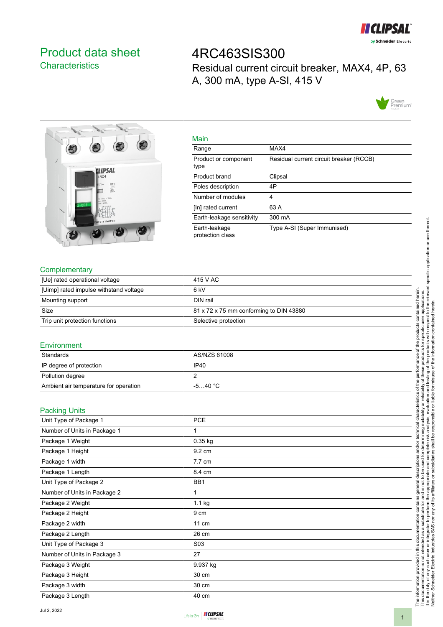

# <span id="page-0-0"></span>Product data sheet **Characteristics**

4RC463SIS300 Residual current circuit breaker, MAX4, 4P, 63 A, 300 mA, type A-SI, 415 V





| Main                              |                                         |
|-----------------------------------|-----------------------------------------|
| Range                             | MAX4                                    |
| Product or component<br>type      | Residual current circuit breaker (RCCB) |
| Product brand                     | Clipsal                                 |
| Poles description                 | 4P                                      |
| Number of modules                 | 4                                       |
| [In] rated current                | 63 A                                    |
| Earth-leakage sensitivity         | 300 mA                                  |
| Earth-leakage<br>protection class | Type A-SI (Super Immunised)             |

### **Complementary**

| [Ue] rated operational voltage         | 415 V AC                                |
|----------------------------------------|-----------------------------------------|
| [Uimp] rated impulse withstand voltage | 6 kV                                    |
| Mounting support                       | DIN rail                                |
| Size                                   | 81 x 72 x 75 mm conforming to DIN 43880 |
| Trip unit protection functions         | Selective protection                    |

#### **Environment**

| Standards                             | AS/NZS 61008 |
|---------------------------------------|--------------|
| IP degree of protection               | <b>IP40</b>  |
| Pollution degree                      |              |
| Ambient air temperature for operation | $-540 °C$    |

#### Packing Units

| Unit Type of Package 1       | <b>PCE</b>       |  |
|------------------------------|------------------|--|
| Number of Units in Package 1 | 1                |  |
| Package 1 Weight             | $0.35$ kg        |  |
| Package 1 Height             | 9.2 cm           |  |
| Package 1 width              | 7.7 cm           |  |
| Package 1 Length             | 8.4 cm           |  |
| Unit Type of Package 2       | BB1              |  |
| Number of Units in Package 2 | 1                |  |
| Package 2 Weight             | $1.1$ kg         |  |
| Package 2 Height             | 9 cm             |  |
| Package 2 width              | $11 \text{ cm}$  |  |
| Package 2 Length             | 26 cm            |  |
| Unit Type of Package 3       | S <sub>0</sub> 3 |  |
| Number of Units in Package 3 | 27               |  |
| Package 3 Weight             | 9.937 kg         |  |
| Package 3 Height             | 30 cm            |  |
| Package 3 width              | 30 cm            |  |
| Package 3 Length             | 40 cm            |  |



The information provided in this documentation contains general descriptions and/or technical characteristics of the performance of the products contained herein. This documentation is not intended as a substitute for and is not to be used for determining suitability or reliability of these products for specific user applications.

scriptions ğ eral

contains ger stitute for a<br>perform th

documentation

this

provided in

The information

This documentation is not intended as a substitute for<br>It is the duty of any such user or integrator to perform<br>Neither Schneider Electric Industries SAS nor any of i

technical characteristics of the performance of the products

It is the duty of any such user or integrator to perform the appropriate and complete risk analysis, evaluation and testing of the products with respect to the relevant specific application or use thereof.

v and is not to be used for determining suitability or reliability of the appropriate and complete risk analysis, evaluation and to its affiliates or subsidiaries shall be responsible or liable for π and/or i

y of these products for specific user applications.<br>testing of the products with respect to the relevant specific application or use thereof.<br>misuse of the information contained herein. contained herein.

Neither Schneider Electric Industries SAS nor any of its affiliates or subsidiaries shall be responsible or liable for misuse of the information contained herein.